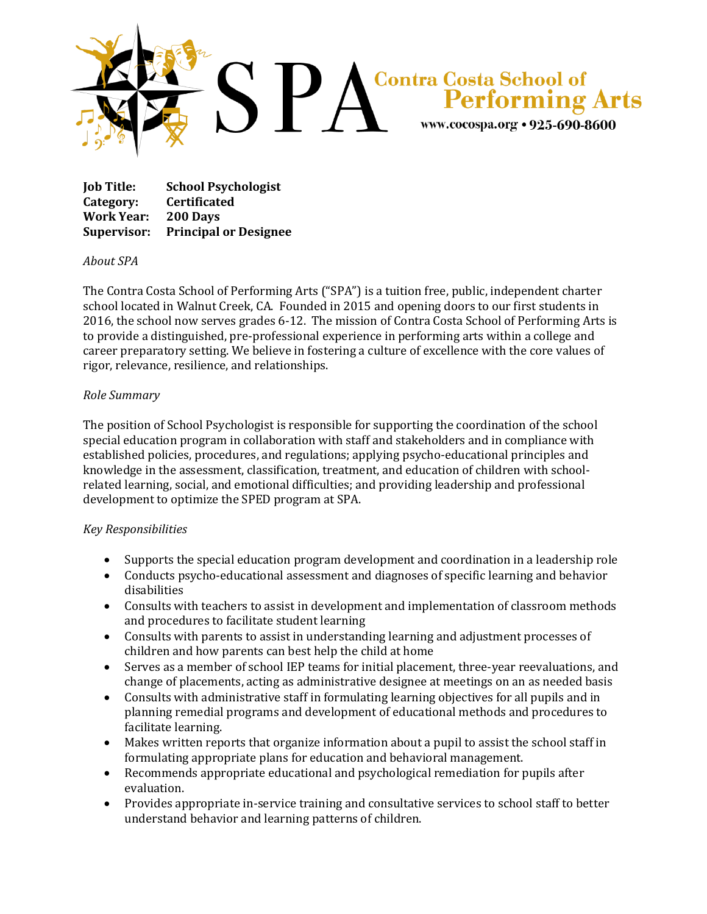

**Job Title: School Psychologist Category: Certificated Work Year: 200 Days Supervisor: Principal or Designee**

## *About SPA*

The Contra Costa School of Performing Arts ("SPA") is a tuition free, public, independent charter school located in Walnut Creek, CA. Founded in 2015 and opening doors to our first students in 2016, the school now serves grades 6-12. The mission of Contra Costa School of Performing Arts is to provide a distinguished, pre-professional experience in performing arts within a college and career preparatory setting. We believe in fostering a culture of excellence with the core values of rigor, relevance, resilience, and relationships.

## *Role Summary*

The position of School Psychologist is responsible for supporting the coordination of the school special education program in collaboration with staff and stakeholders and in compliance with established policies, procedures, and regulations; applying psycho-educational principles and knowledge in the assessment, classification, treatment, and education of children with schoolrelated learning, social, and emotional difficulties; and providing leadership and professional development to optimize the SPED program at SPA.

## *Key Responsibilities*

- Supports the special education program development and coordination in a leadership role
- Conducts psycho-educational assessment and diagnoses of specific learning and behavior disabilities
- Consults with teachers to assist in development and implementation of classroom methods and procedures to facilitate student learning
- Consults with parents to assist in understanding learning and adjustment processes of children and how parents can best help the child at home
- Serves as a member of school IEP teams for initial placement, three-year reevaluations, and change of placements, acting as administrative designee at meetings on an as needed basis
- Consults with administrative staff in formulating learning objectives for all pupils and in planning remedial programs and development of educational methods and procedures to facilitate learning.
- Makes written reports that organize information about a pupil to assist the school staff in formulating appropriate plans for education and behavioral management.
- Recommends appropriate educational and psychological remediation for pupils after evaluation.
- Provides appropriate in-service training and consultative services to school staff to better understand behavior and learning patterns of children.